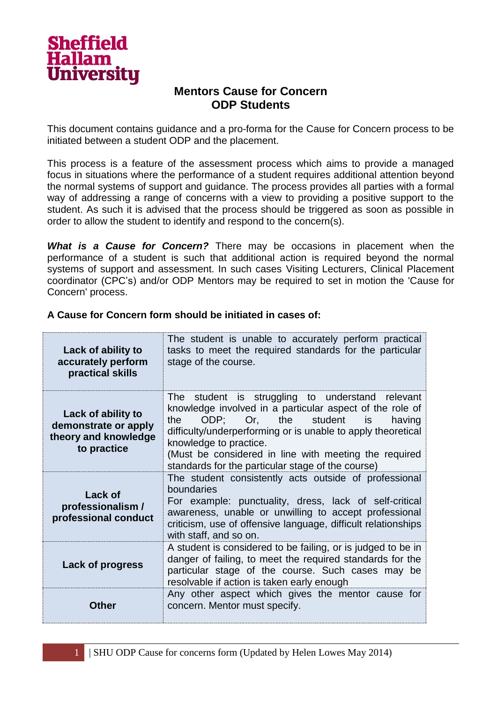

# **Mentors Cause for Concern ODP Students**

This document contains guidance and a pro-forma for the Cause for Concern process to be initiated between a student ODP and the placement.

This process is a feature of the assessment process which aims to provide a managed focus in situations where the performance of a student requires additional attention beyond the normal systems of support and guidance. The process provides all parties with a formal way of addressing a range of concerns with a view to providing a positive support to the student. As such it is advised that the process should be triggered as soon as possible in order to allow the student to identify and respond to the concern(s).

*What is a Cause for Concern?* There may be occasions in placement when the performance of a student is such that additional action is required beyond the normal systems of support and assessment. In such cases Visiting Lecturers, Clinical Placement coordinator (CPC's) and/or ODP Mentors may be required to set in motion the 'Cause for Concern' process.

| Lack of ability to<br>accurately perform<br>practical skills                      | The student is unable to accurately perform practical<br>tasks to meet the required standards for the particular<br>stage of the course.                                                                                                                                                                                                                         |
|-----------------------------------------------------------------------------------|------------------------------------------------------------------------------------------------------------------------------------------------------------------------------------------------------------------------------------------------------------------------------------------------------------------------------------------------------------------|
| Lack of ability to<br>demonstrate or apply<br>theory and knowledge<br>to practice | The student is struggling to understand relevant<br>knowledge involved in a particular aspect of the role of<br>ODP; Or, the student is<br>the<br>having<br>difficulty/underperforming or is unable to apply theoretical<br>knowledge to practice.<br>(Must be considered in line with meeting the required<br>standards for the particular stage of the course) |
| Lack of<br>professionalism /<br>professional conduct                              | The student consistently acts outside of professional<br>boundaries<br>For example: punctuality, dress, lack of self-critical<br>awareness, unable or unwilling to accept professional<br>criticism, use of offensive language, difficult relationships<br>with staff, and so on.                                                                                |
| <b>Lack of progress</b>                                                           | A student is considered to be failing, or is judged to be in<br>danger of failing, to meet the required standards for the<br>particular stage of the course. Such cases may be<br>resolvable if action is taken early enough                                                                                                                                     |
| Other                                                                             | Any other aspect which gives the mentor cause for<br>concern. Mentor must specify.                                                                                                                                                                                                                                                                               |

**A Cause for Concern form should be initiated in cases of:**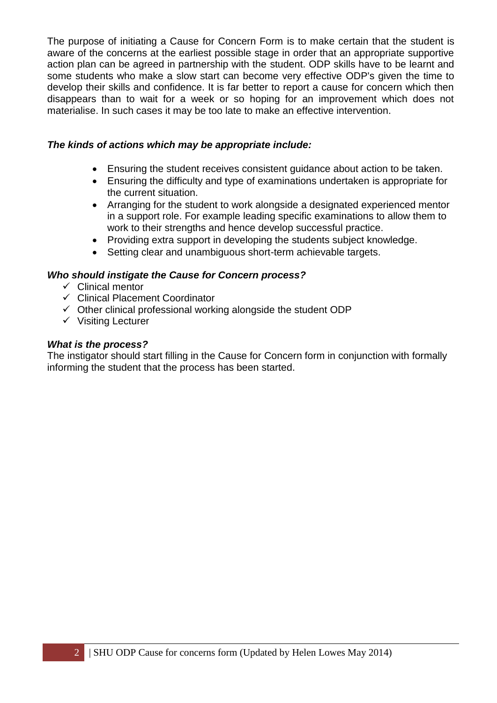The purpose of initiating a Cause for Concern Form is to make certain that the student is aware of the concerns at the earliest possible stage in order that an appropriate supportive action plan can be agreed in partnership with the student. ODP skills have to be learnt and some students who make a slow start can become very effective ODP's given the time to develop their skills and confidence. It is far better to report a cause for concern which then disappears than to wait for a week or so hoping for an improvement which does not materialise. In such cases it may be too late to make an effective intervention.

### *The kinds of actions which may be appropriate include:*

- Ensuring the student receives consistent guidance about action to be taken.
- Ensuring the difficulty and type of examinations undertaken is appropriate for the current situation.
- Arranging for the student to work alongside a designated experienced mentor in a support role. For example leading specific examinations to allow them to work to their strengths and hence develop successful practice.
- Providing extra support in developing the students subject knowledge.
- Setting clear and unambiguous short-term achievable targets.

### *Who should instigate the Cause for Concern process?*

- $\checkmark$  Clinical mentor
- Clinical Placement Coordinator
- $\checkmark$  Other clinical professional working alongside the student ODP
- $\checkmark$  Visiting Lecturer

### *What is the process?*

The instigator should start filling in the Cause for Concern form in conjunction with formally informing the student that the process has been started.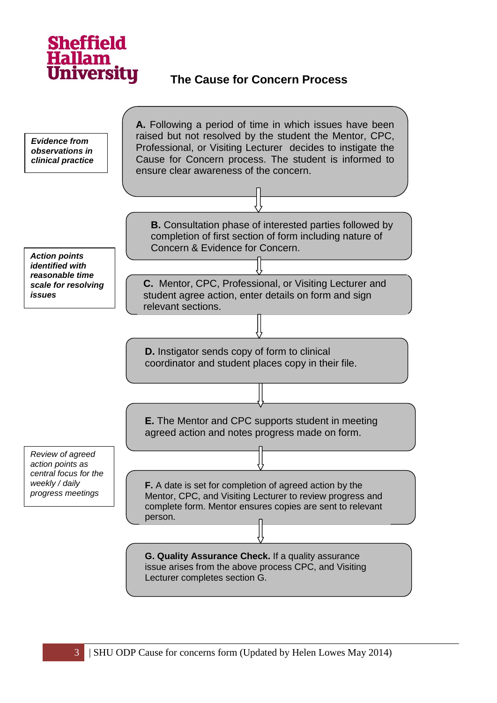

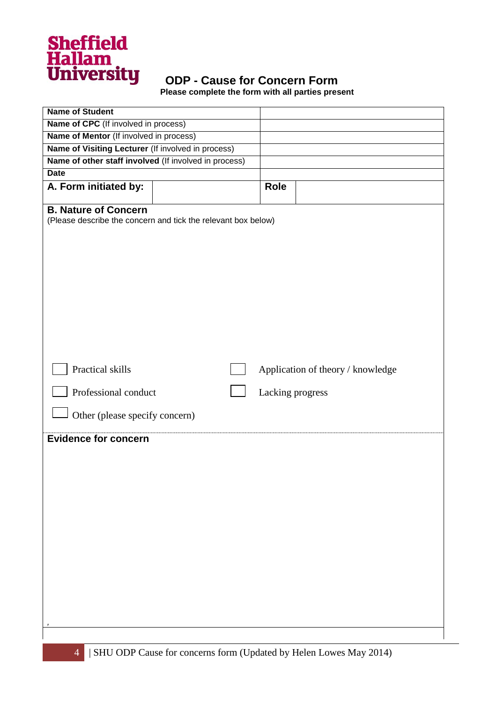

 **Please complete the form with all parties present**

| <b>Name of Student</b>                                        |                  |                                   |
|---------------------------------------------------------------|------------------|-----------------------------------|
| Name of CPC (If involved in process)                          |                  |                                   |
| Name of Mentor (If involved in process)                       |                  |                                   |
| Name of Visiting Lecturer (If involved in process)            |                  |                                   |
| Name of other staff involved (If involved in process)         |                  |                                   |
| <b>Date</b>                                                   |                  |                                   |
| A. Form initiated by:                                         | <b>Role</b>      |                                   |
| <b>B. Nature of Concern</b>                                   |                  |                                   |
| (Please describe the concern and tick the relevant box below) |                  |                                   |
|                                                               |                  |                                   |
|                                                               |                  |                                   |
|                                                               |                  |                                   |
|                                                               |                  |                                   |
|                                                               |                  |                                   |
|                                                               |                  |                                   |
|                                                               |                  |                                   |
|                                                               |                  |                                   |
|                                                               |                  |                                   |
|                                                               |                  |                                   |
|                                                               |                  |                                   |
| Practical skills                                              |                  | Application of theory / knowledge |
|                                                               |                  |                                   |
| Professional conduct                                          |                  |                                   |
|                                                               | Lacking progress |                                   |
| Other (please specify concern)                                |                  |                                   |
|                                                               |                  |                                   |
| <b>Evidence for concern</b>                                   |                  |                                   |
|                                                               |                  |                                   |
|                                                               |                  |                                   |
|                                                               |                  |                                   |
|                                                               |                  |                                   |
|                                                               |                  |                                   |
|                                                               |                  |                                   |
|                                                               |                  |                                   |
|                                                               |                  |                                   |
|                                                               |                  |                                   |
|                                                               |                  |                                   |
|                                                               |                  |                                   |
|                                                               |                  |                                   |
|                                                               |                  |                                   |
|                                                               |                  |                                   |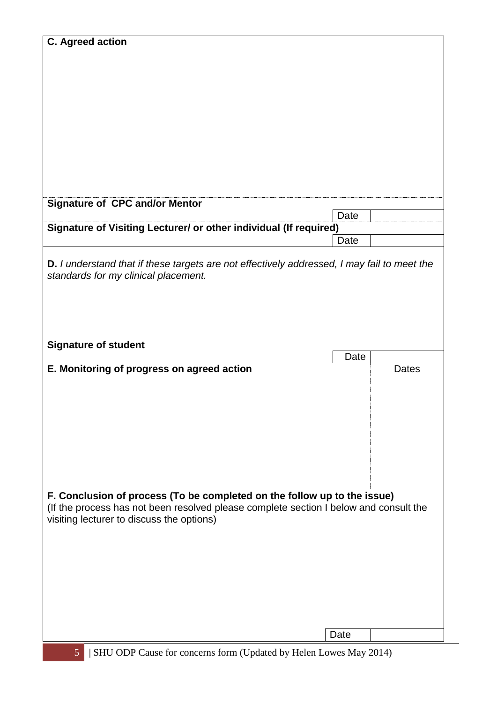| C. Agreed action                                                                                                                                                  |      |              |
|-------------------------------------------------------------------------------------------------------------------------------------------------------------------|------|--------------|
|                                                                                                                                                                   |      |              |
|                                                                                                                                                                   |      |              |
|                                                                                                                                                                   |      |              |
|                                                                                                                                                                   |      |              |
|                                                                                                                                                                   |      |              |
|                                                                                                                                                                   |      |              |
|                                                                                                                                                                   |      |              |
|                                                                                                                                                                   |      |              |
|                                                                                                                                                                   |      |              |
|                                                                                                                                                                   |      |              |
| <b>Signature of CPC and/or Mentor</b>                                                                                                                             |      |              |
| Signature of Visiting Lecturer/ or other individual (If required)                                                                                                 | Date |              |
|                                                                                                                                                                   | Date |              |
|                                                                                                                                                                   |      |              |
| D. I understand that if these targets are not effectively addressed, I may fail to meet the                                                                       |      |              |
| standards for my clinical placement.                                                                                                                              |      |              |
|                                                                                                                                                                   |      |              |
|                                                                                                                                                                   |      |              |
|                                                                                                                                                                   |      |              |
| <b>Signature of student</b>                                                                                                                                       |      |              |
|                                                                                                                                                                   | Date |              |
| E. Monitoring of progress on agreed action                                                                                                                        |      | <b>Dates</b> |
|                                                                                                                                                                   |      |              |
|                                                                                                                                                                   |      |              |
|                                                                                                                                                                   |      |              |
|                                                                                                                                                                   |      |              |
|                                                                                                                                                                   |      |              |
|                                                                                                                                                                   |      |              |
|                                                                                                                                                                   |      |              |
|                                                                                                                                                                   |      |              |
| F. Conclusion of process (To be completed on the follow up to the issue)<br>(If the process has not been resolved please complete section I below and consult the |      |              |
| visiting lecturer to discuss the options)                                                                                                                         |      |              |
|                                                                                                                                                                   |      |              |
|                                                                                                                                                                   |      |              |
|                                                                                                                                                                   |      |              |
|                                                                                                                                                                   |      |              |
|                                                                                                                                                                   |      |              |
|                                                                                                                                                                   |      |              |
|                                                                                                                                                                   |      |              |
|                                                                                                                                                                   |      |              |
|                                                                                                                                                                   | Date |              |